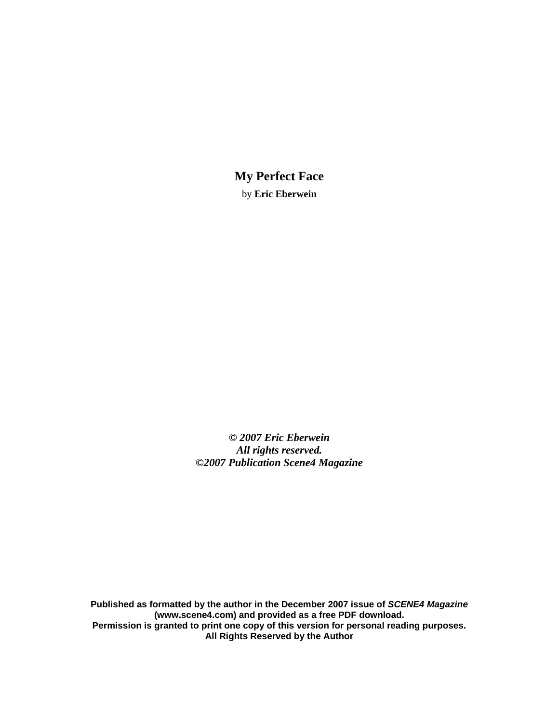**My Perfect Face**  by **Eric Eberwein**

*© 2007 Eric Eberwein All rights reserved. ©2007 Publication Scene4 Magazine* 

**Published as formatted by the author in the December 2007 issue of** *SCENE4 Magazine* **(www.scene4.com) and provided as a free PDF download. Permission is granted to print one copy of this version for personal reading purposes. All Rights Reserved by the Author**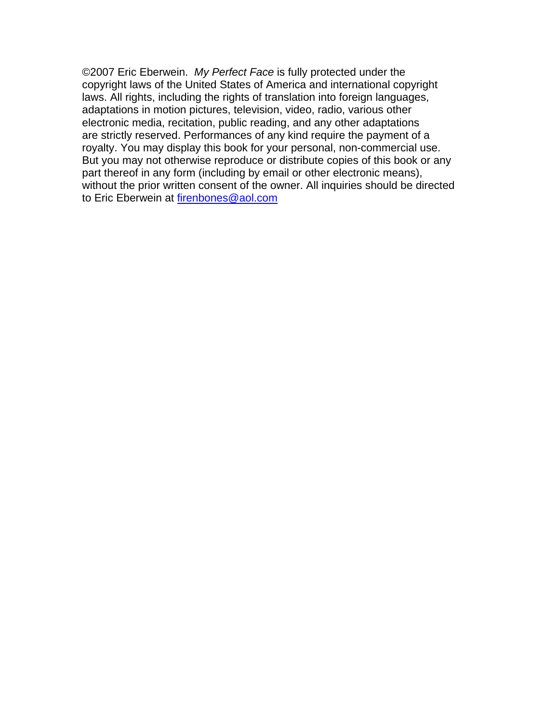©2007 Eric Eberwein. *My Perfect Face* is fully protected under the copyright laws of the United States of America and international copyright laws. All rights, including the rights of translation into foreign languages, adaptations in motion pictures, television, video, radio, various other electronic media, recitation, public reading, and any other adaptations are strictly reserved. Performances of any kind require the payment of a royalty. You may display this book for your personal, non-commercial use. But you may not otherwise reproduce or distribute copies of this book or any part thereof in any form (including by email or other electronic means), without the prior written consent of the owner. All inquiries should be directed to Eric Eberwein at firenbones@aol.com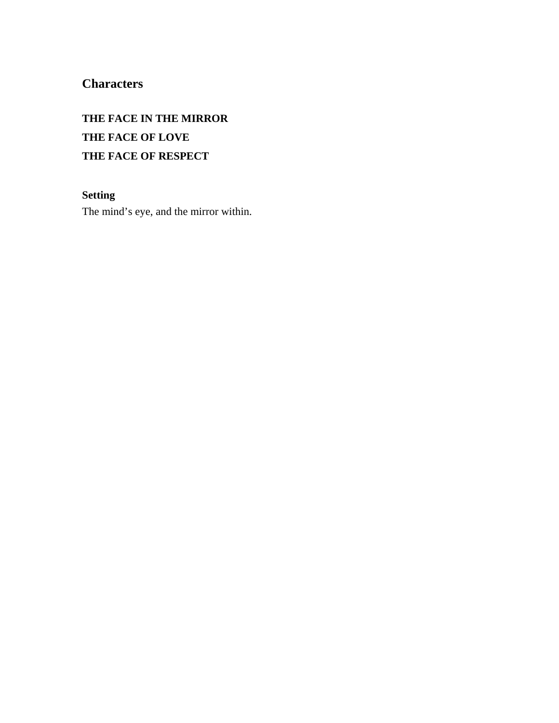# **Characters**

# **THE FACE IN THE MIRROR THE FACE OF LOVE THE FACE OF RESPECT**

## **Setting**

The mind's eye, and the mirror within.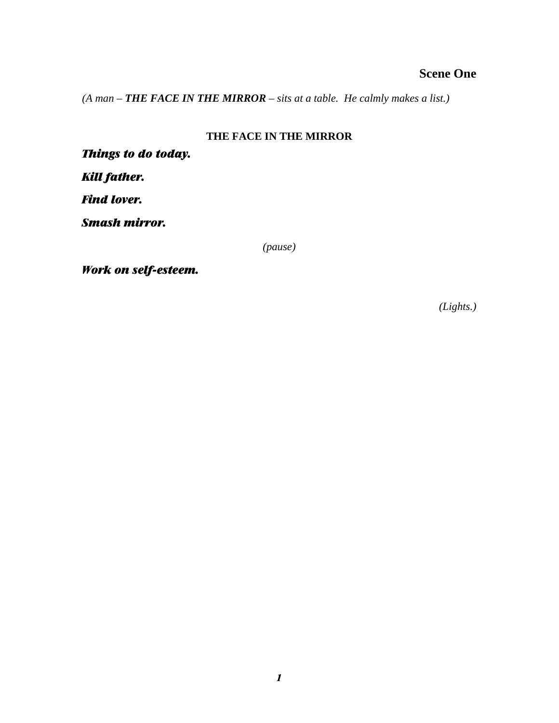# **Scene One**

*(A man – THE FACE IN THE MIRROR – sits at a table. He calmly makes a list.)* 

## **THE FACE IN THE MIRROR**

*Things to do today.* 

*Kill father.* 

*Find lover.* 

*Smash mirror.* 

*(pause)* 

*Work on self-esteem.* 

*(Lights.)*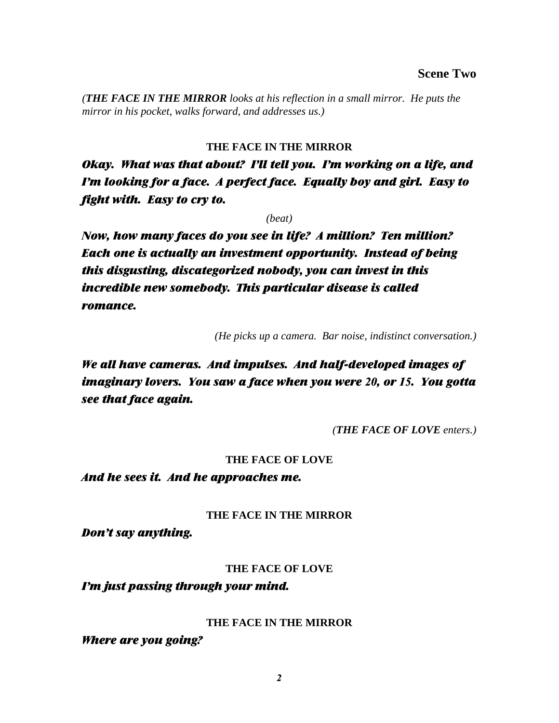*(THE FACE IN THE MIRROR looks at his reflection in a small mirror. He puts the mirror in his pocket, walks forward, and addresses us.)* 

## **THE FACE IN THE MIRROR**

*Okay. What was that about? I'll tell you. I'm working on a life, and I'm looking for a face. A perfect face. Equally boy and girl. Easy to fight with. Easy to cry to.* 

*(beat)* 

*Now, how many faces do you see in life? A million? Ten million? Each one is actually an investment opportunity. Instead of being this disgusting, discategorized nobody, you can invest in this incredible new somebody. This particular disease is called romance.* 

*(He picks up a camera. Bar noise, indistinct conversation.)* 

*We all have cameras. And impulses. And half-developed images of imaginary lovers. You saw a face when you were 20, or 15. You gotta see that face again.* 

*(THE FACE OF LOVE enters.)* 

## **THE FACE OF LOVE**

*And he sees it. And he approaches me.* 

## **THE FACE IN THE MIRROR**

*Don't say anything.* 

## **THE FACE OF LOVE**

*I'm just passing through your mind.* 

## **THE FACE IN THE MIRROR**

*Where are you going?*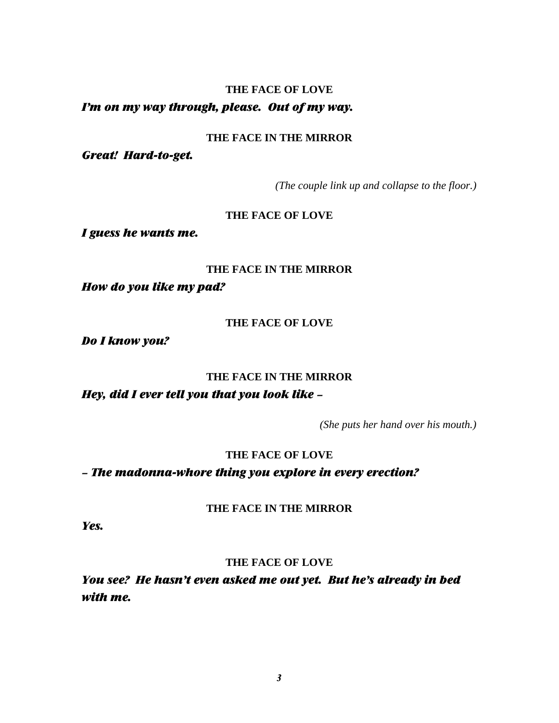## **THE FACE OF LOVE**  *I'm on my way through, please. Out of my way.*

## **THE FACE IN THE MIRROR**

*Great! Hard-to-get.* 

*(The couple link up and collapse to the floor.)* 

## **THE FACE OF LOVE**

*I guess he wants me.* 

## **THE FACE IN THE MIRROR**

*How do you like my pad?* 

## **THE FACE OF LOVE**

*Do I know you?* 

## **THE FACE IN THE MIRROR**

*Hey, did I ever tell you that you look like –* 

*(She puts her hand over his mouth.)* 

## **THE FACE OF LOVE**

*– The madonna-whore thing you explore in every erection?* 

**THE FACE IN THE MIRROR** 

*Yes.* 

## **THE FACE OF LOVE**

*You see? He hasn't even asked me out yet. But he's already in bed with me.*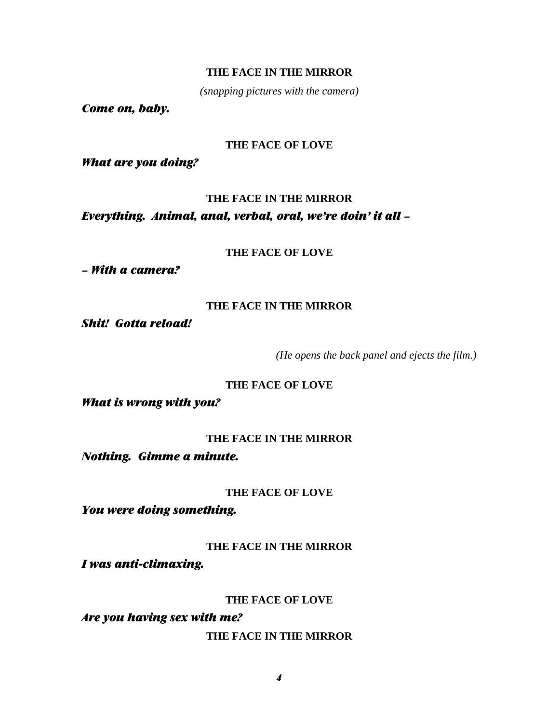## **THE FACE IN THE MIRROR**

*(snapping pictures with the camera)* 

*Come on, baby.* 

#### **THE FACE OF LOVE**

*What are you doing?* 

### **THE FACE IN THE MIRROR**

*Everything. Animal, anal, verbal, oral, we're doin' it all –* 

## **THE FACE OF LOVE**

*– With a camera?* 

#### **THE FACE IN THE MIRROR**

*Shit! Gotta reload!* 

*(He opens the back panel and ejects the film.)* 

## **THE FACE OF LOVE**

*What is wrong with you?* 

## **THE FACE IN THE MIRROR**

*Nothing. Gimme a minute.* 

#### **THE FACE OF LOVE**

*You were doing something.* 

**THE FACE IN THE MIRROR** 

*I was anti-climaxing.* 

## **THE FACE OF LOVE**

*Are you having sex with me?* 

**THE FACE IN THE MIRROR**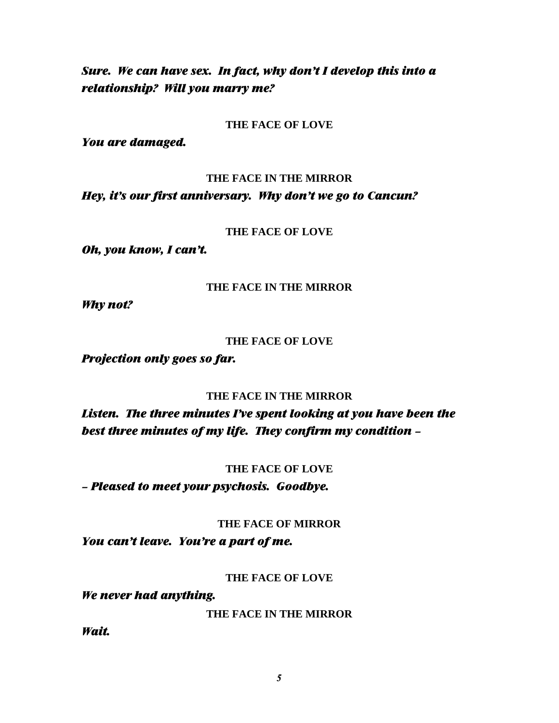# *Sure. We can have sex. In fact, why don't I develop this into a relationship? Will you marry me?*

### **THE FACE OF LOVE**

*You are damaged.* 

### **THE FACE IN THE MIRROR**

*Hey, it's our first anniversary. Why don't we go to Cancun?* 

## **THE FACE OF LOVE**

*Oh, you know, I can't.* 

## **THE FACE IN THE MIRROR**

*Why not?* 

## **THE FACE OF LOVE**

*Projection only goes so far.* 

## **THE FACE IN THE MIRROR**

*Listen. The three minutes I've spent looking at you have been the best three minutes of my life. They confirm my condition –* 

## **THE FACE OF LOVE**

*– Pleased to meet your psychosis. Goodbye.* 

## **THE FACE OF MIRROR**

*You can't leave. You're a part of me.* 

## **THE FACE OF LOVE**

## *We never had anything.*

**THE FACE IN THE MIRROR** 

*Wait.*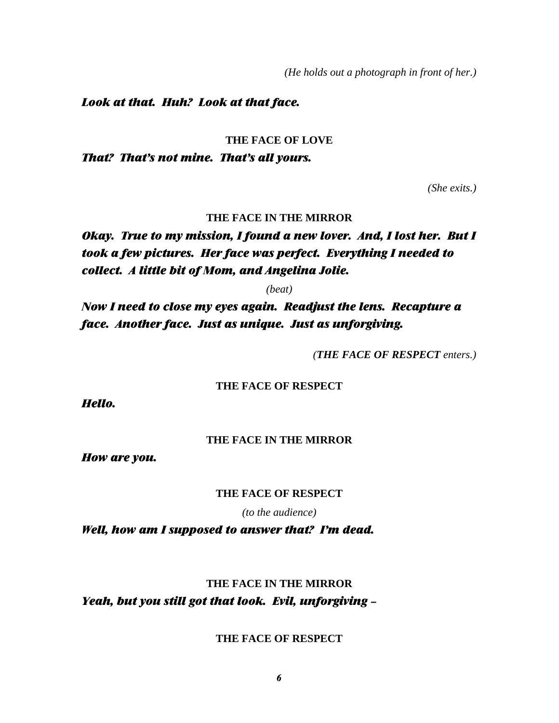*(He holds out a photograph in front of her.)* 

### *Look at that. Huh? Look at that face.*

#### **THE FACE OF LOVE**

*That? That's not mine. That's all yours.* 

*(She exits.)*

#### **THE FACE IN THE MIRROR**

# *Okay. True to my mission, I found a new lover. And, I lost her. But I took a few pictures. Her face was perfect. Everything I needed to collect. A little bit of Mom, and Angelina Jolie.*

*(beat)* 

*Now I need to close my eyes again. Readjust the lens. Recapture a face. Another face. Just as unique. Just as unforgiving.* 

*(THE FACE OF RESPECT enters.)* 

#### **THE FACE OF RESPECT**

*Hello.* 

#### **THE FACE IN THE MIRROR**

*How are you.* 

### **THE FACE OF RESPECT**

*(to the audience)* 

*Well, how am I supposed to answer that? I'm dead.* 

## **THE FACE IN THE MIRROR**

*Yeah, but you still got that look. Evil, unforgiving –* 

### **THE FACE OF RESPECT**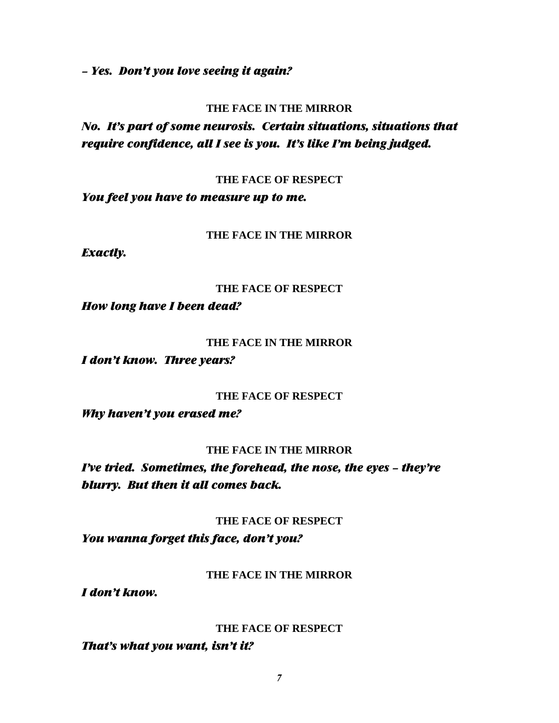*– Yes. Don't you love seeing it again?* 

### **THE FACE IN THE MIRROR**

*No. It's part of some neurosis. Certain situations, situations that require confidence, all I see is you. It's like I'm being judged.* 

**THE FACE OF RESPECT** 

*You feel you have to measure up to me.* 

#### **THE FACE IN THE MIRROR**

*Exactly.* 

#### **THE FACE OF RESPECT**

*How long have I been dead?* 

#### **THE FACE IN THE MIRROR**

*I don't know. Three years?* 

#### **THE FACE OF RESPECT**

*Why haven't you erased me?* 

#### **THE FACE IN THE MIRROR**

*I've tried. Sometimes, the forehead, the nose, the eyes – they're blurry. But then it all comes back.* 

#### **THE FACE OF RESPECT**

*You wanna forget this face, don't you?* 

### **THE FACE IN THE MIRROR**

*I don't know.* 

#### **THE FACE OF RESPECT**

## *That's what you want, isn't it?*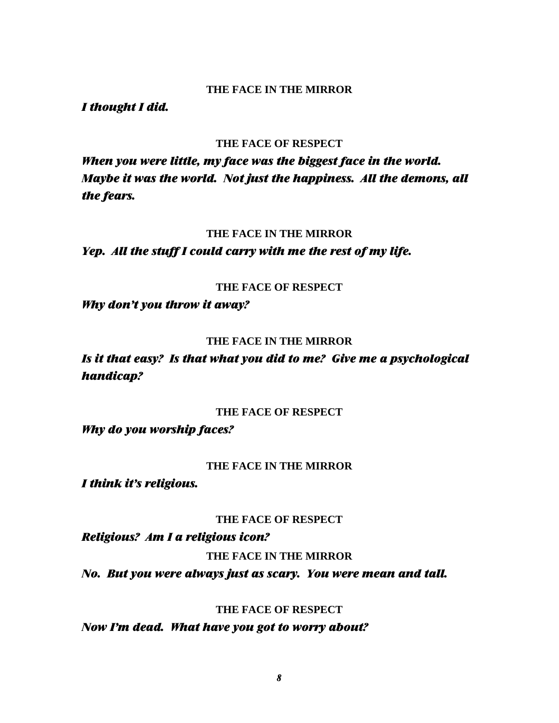#### **THE FACE IN THE MIRROR**

*I thought I did.* 

#### **THE FACE OF RESPECT**

*When you were little, my face was the biggest face in the world. Maybe it was the world. Not just the happiness. All the demons, all the fears.* 

#### **THE FACE IN THE MIRROR**

*Yep. All the stuff I could carry with me the rest of my life.* 

### **THE FACE OF RESPECT**

*Why don't you throw it away?* 

#### **THE FACE IN THE MIRROR**

*Is it that easy? Is that what you did to me? Give me a psychological handicap?* 

### **THE FACE OF RESPECT**

*Why do you worship faces?* 

#### **THE FACE IN THE MIRROR**

*I think it's religious.* 

#### **THE FACE OF RESPECT**

*Religious? Am I a religious icon?* 

#### **THE FACE IN THE MIRROR**

*No. But you were always just as scary. You were mean and tall.* 

### **THE FACE OF RESPECT**

*Now I'm dead. What have you got to worry about?*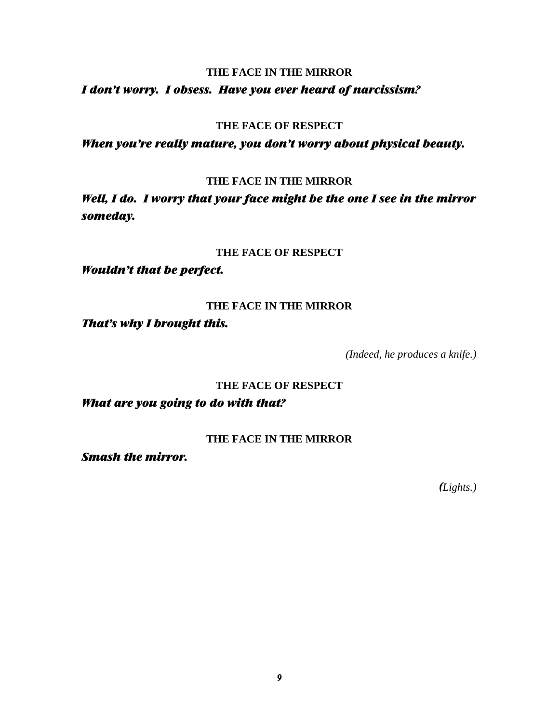## **THE FACE IN THE MIRROR**

## *I don't worry. I obsess. Have you ever heard of narcissism?*

### **THE FACE OF RESPECT**

*When you're really mature, you don't worry about physical beauty.* 

## **THE FACE IN THE MIRROR**

*Well, I do. I worry that your face might be the one I see in the mirror someday.* 

## **THE FACE OF RESPECT**

*Wouldn't that be perfect.* 

## **THE FACE IN THE MIRROR**

*That's why I brought this.* 

*(Indeed, he produces a knife.)* 

## **THE FACE OF RESPECT**

*What are you going to do with that?* 

## **THE FACE IN THE MIRROR**

*Smash the mirror.* 

 *(Lights.)*